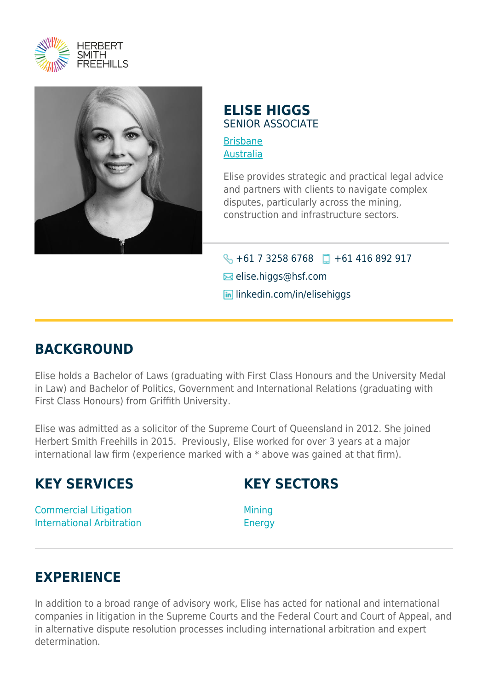



#### **ELISE HIGGS** SENIOR ASSOCIATE

[Brisbane](https://www.herbertsmithfreehills.com/where-we-work/brisbane) [Australia](https://www.herbertsmithfreehills.com/where-we-work/australia)

Elise provides strategic and practical legal advice and partners with clients to navigate complex disputes, particularly across the mining, construction and infrastructure sectors.

 $\bigodot$  +61 7 3258 6768 +61 416 892 917 **E**lise.higgs@hsf.com **lin** linkedin.com/in/elisehiggs

## **BACKGROUND**

Elise holds a Bachelor of Laws (graduating with First Class Honours and the University Medal in Law) and Bachelor of Politics, Government and International Relations (graduating with First Class Honours) from Griffith University.

Elise was admitted as a solicitor of the Supreme Court of Queensland in 2012. She joined Herbert Smith Freehills in 2015. Previously, Elise worked for over 3 years at a major international law firm (experience marked with a \* above was gained at that firm).

### **KEY SERVICES**

### **KEY SECTORS**

Commercial Litigation International Arbitration

Mining Energy

# **EXPERIENCE**

In addition to a broad range of advisory work, Elise has acted for national and international companies in litigation in the Supreme Courts and the Federal Court and Court of Appeal, and in alternative dispute resolution processes including international arbitration and expert determination.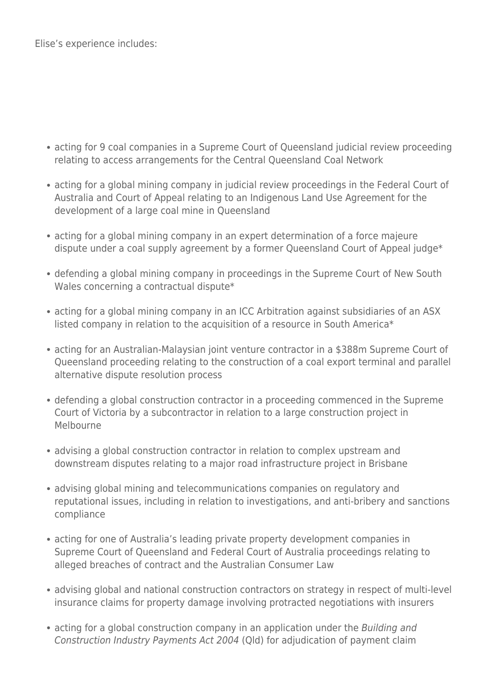Elise's experience includes:

- acting for 9 coal companies in a Supreme Court of Queensland judicial review proceeding relating to access arrangements for the Central Queensland Coal Network
- acting for a global mining company in judicial review proceedings in the Federal Court of Australia and Court of Appeal relating to an Indigenous Land Use Agreement for the development of a large coal mine in Queensland
- acting for a global mining company in an expert determination of a force majeure dispute under a coal supply agreement by a former Queensland Court of Appeal judge\*
- defending a global mining company in proceedings in the Supreme Court of New South Wales concerning a contractual dispute\*
- acting for a global mining company in an ICC Arbitration against subsidiaries of an ASX listed company in relation to the acquisition of a resource in South America\*
- acting for an Australian-Malaysian joint venture contractor in a \$388m Supreme Court of Queensland proceeding relating to the construction of a coal export terminal and parallel alternative dispute resolution process
- defending a global construction contractor in a proceeding commenced in the Supreme Court of Victoria by a subcontractor in relation to a large construction project in Melbourne
- advising a global construction contractor in relation to complex upstream and downstream disputes relating to a major road infrastructure project in Brisbane
- advising global mining and telecommunications companies on regulatory and reputational issues, including in relation to investigations, and anti-bribery and sanctions compliance
- acting for one of Australia's leading private property development companies in Supreme Court of Queensland and Federal Court of Australia proceedings relating to alleged breaches of contract and the Australian Consumer Law
- advising global and national construction contractors on strategy in respect of multi-level insurance claims for property damage involving protracted negotiations with insurers
- acting for a global construction company in an application under the Building and Construction Industry Payments Act 2004 (Qld) for adjudication of payment claim